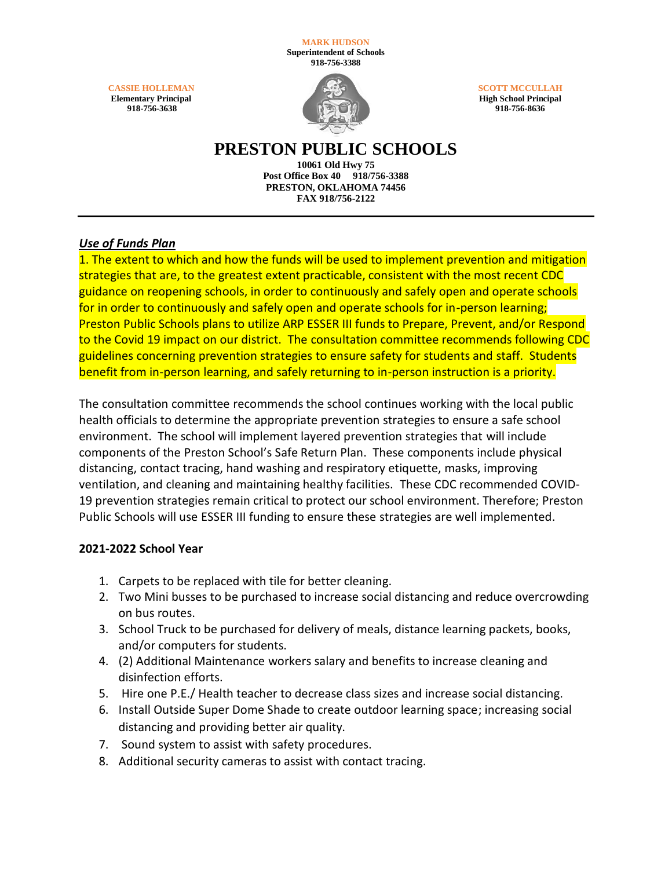**MARK HUDSON Superintendent of Schools 918-756-3388**

**CASSIE HOLLEMAN Elementary Principal 918-756-3638**



**SCOTT MCCULLAH High School Principal 918-756-8636**

# **PRESTON PUBLIC SCHOOLS**

**10061 Old Hwy 75 Post Office Box 40 918/756-3388 PRESTON, OKLAHOMA 74456 FAX 918/756-2122**

## *Use of Funds Plan*

1. The extent to which and how the funds will be used to implement prevention and mitigation strategies that are, to the greatest extent practicable, consistent with the most recent CDC guidance on reopening schools, in order to continuously and safely open and operate schools for in order to continuously and safely open and operate schools for in-person learning; Preston Public Schools plans to utilize ARP ESSER III funds to Prepare, Prevent, and/or Respond to the Covid 19 impact on our district. The consultation committee recommends following CDC guidelines concerning prevention strategies to ensure safety for students and staff. Students benefit from in-person learning, and safely returning to in-person instruction is a priority.

The consultation committee recommends the school continues working with the local public health officials to determine the appropriate prevention strategies to ensure a safe school environment. The school will implement layered prevention strategies that will include components of the Preston School's Safe Return Plan. These components include physical distancing, contact tracing, hand washing and respiratory etiquette, masks, improving ventilation, and cleaning and maintaining healthy facilities. These CDC recommended COVID-19 prevention strategies remain critical to protect our school environment. Therefore; Preston Public Schools will use ESSER III funding to ensure these strategies are well implemented.

## **2021-2022 School Year**

- 1. Carpets to be replaced with tile for better cleaning.
- 2. Two Mini busses to be purchased to increase social distancing and reduce overcrowding on bus routes.
- 3. School Truck to be purchased for delivery of meals, distance learning packets, books, and/or computers for students.
- 4. (2) Additional Maintenance workers salary and benefits to increase cleaning and disinfection efforts.
- 5. Hire one P.E./ Health teacher to decrease class sizes and increase social distancing.
- 6. Install Outside Super Dome Shade to create outdoor learning space; increasing social distancing and providing better air quality.
- 7. Sound system to assist with safety procedures.
- 8. Additional security cameras to assist with contact tracing.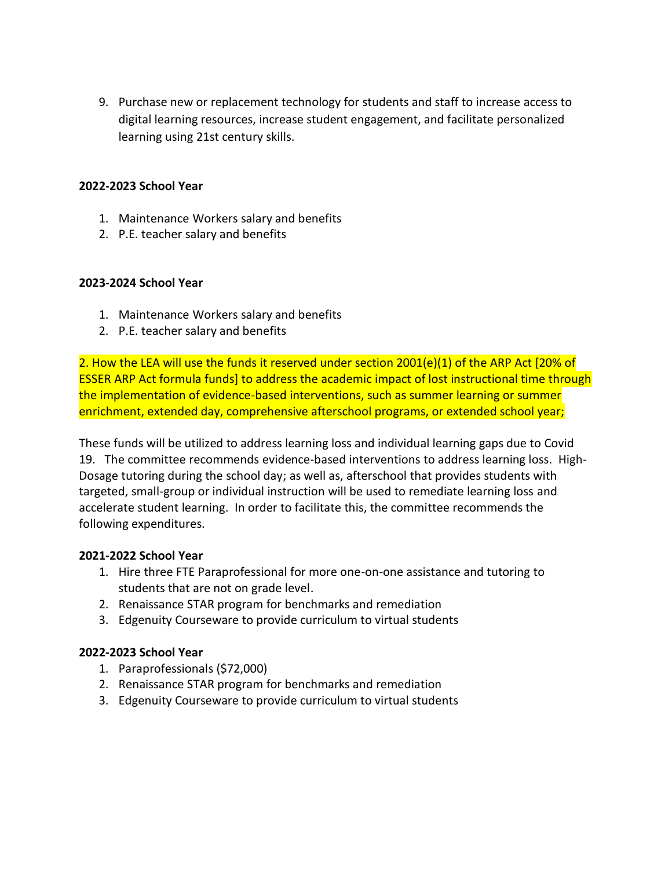9. Purchase new or replacement technology for students and staff to increase access to digital learning resources, increase student engagement, and facilitate personalized learning using 21st century skills.

## **2022-2023 School Year**

- 1. Maintenance Workers salary and benefits
- 2. P.E. teacher salary and benefits

# **2023-2024 School Year**

- 1. Maintenance Workers salary and benefits
- 2. P.E. teacher salary and benefits

2. How the LEA will use the funds it reserved under section 2001(e)(1) of the ARP Act [20% of ESSER ARP Act formula funds] to address the academic impact of lost instructional time through the implementation of evidence-based interventions, such as summer learning or summer enrichment, extended day, comprehensive afterschool programs, or extended school year;

These funds will be utilized to address learning loss and individual learning gaps due to Covid 19. The committee recommends evidence-based interventions to address learning loss. High-Dosage tutoring during the school day; as well as, afterschool that provides students with targeted, small-group or individual instruction will be used to remediate learning loss and accelerate student learning. In order to facilitate this, the committee recommends the following expenditures.

# **2021-2022 School Year**

- 1. Hire three FTE Paraprofessional for more one-on-one assistance and tutoring to students that are not on grade level.
- 2. Renaissance STAR program for benchmarks and remediation
- 3. Edgenuity Courseware to provide curriculum to virtual students

# **2022-2023 School Year**

- 1. Paraprofessionals (\$72,000)
- 2. Renaissance STAR program for benchmarks and remediation
- 3. Edgenuity Courseware to provide curriculum to virtual students